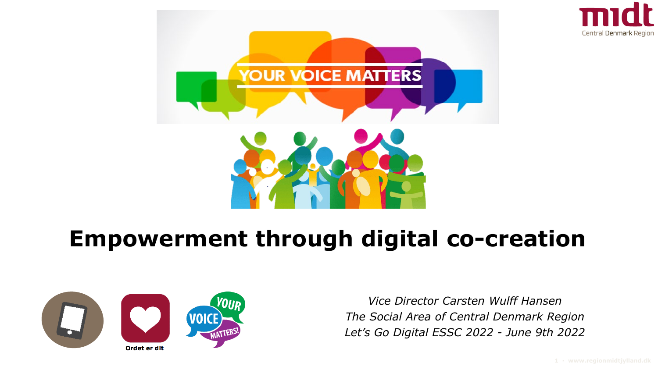



### **Empowerment through digital co-creation**



*Vice Director Carsten Wulff Hansen The Social Area of Central Denmark Region Let's Go Digital ESSC 2022 - June 9th 2022*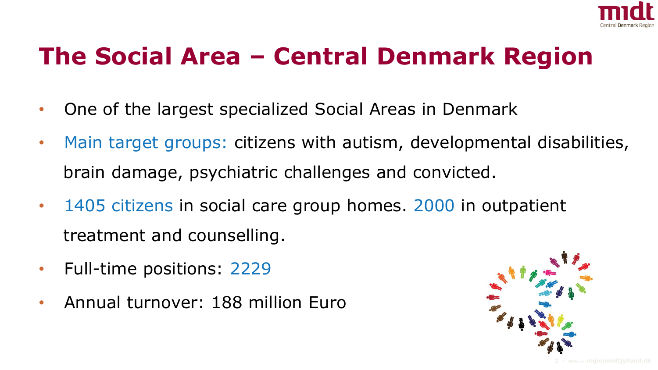

## **The Social Area – Central Denmark Region**

- One of the largest specialized Social Areas in Denmark
- Main target groups: citizens with autism, developmental disabilities, brain damage, psychiatric challenges and convicted.
- 1405 citizens in social care group homes. 2000 in outpatient treatment and counselling.
- Full-time positions: 2229
- Annual turnover: 188 million Euro

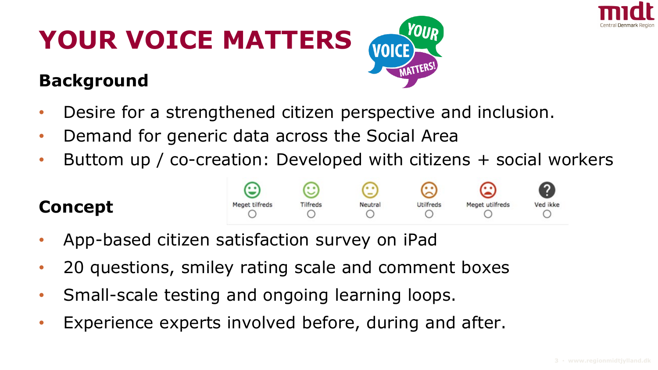

# **YOUR VOICE MATTERS**

### **Background**



Utilfreds

Meget utilfreds

Ved ikke

- Desire for a strengthened citizen perspective and inclusion.
- Demand for generic data across the Social Area

Meget tilfreds

• Buttom up / co-creation: Developed with citizens + social workers

Neutral

Tilfreds

### **Concept**

- App-based citizen satisfaction survey on iPad
- 20 questions, smiley rating scale and comment boxes
- Small-scale testing and ongoing learning loops.
- Experience experts involved before, during and after.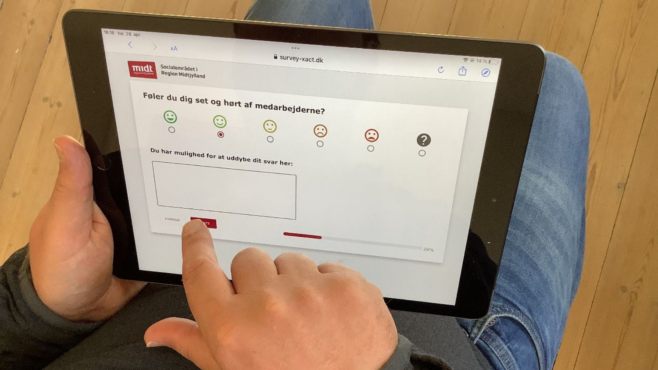| 16.16 tor. 28. apr.<br>$\langle$<br>$\rightarrow$<br>AA<br>Socialområdet i<br>Region Midtjylland<br><u>midt</u>                                                               | 0.04<br>a survey-xact.dk      |         | $\mathcal{C}$ | $\mathcal{L} = 14 \times 1$<br>$\mathbb{D}$<br>$\circledcirc$ |  |
|-------------------------------------------------------------------------------------------------------------------------------------------------------------------------------|-------------------------------|---------|---------------|---------------------------------------------------------------|--|
| $\sim$<br>Føler du dig set og hørt af medarbejderne?<br>$\sim$<br>$\odot$<br>$_{\mathord{\odot}}$<br>$\circ$<br>$\circledcirc$<br>Du har mulighed for at uddybe dit svar her: | $\odot$<br>$\odot$<br>$\circ$ | $\odot$ |               | ng.                                                           |  |
| <b>FORRIGE</b>                                                                                                                                                                |                               |         | 28%           |                                                               |  |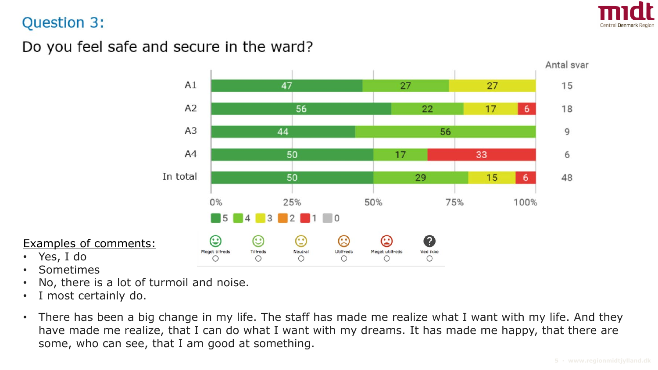

#### Question 3:

#### Do you feel safe and secure in the ward?



Examples of comments: • Yes, I do

- Sometimes
- No, there is a lot of turmoil and noise.
- I most certainly do.
- There has been a big change in my life. The staff has made me realize what I want with my life. And they have made me realize, that I can do what I want with my dreams. It has made me happy, that there are some, who can see, that I am good at something.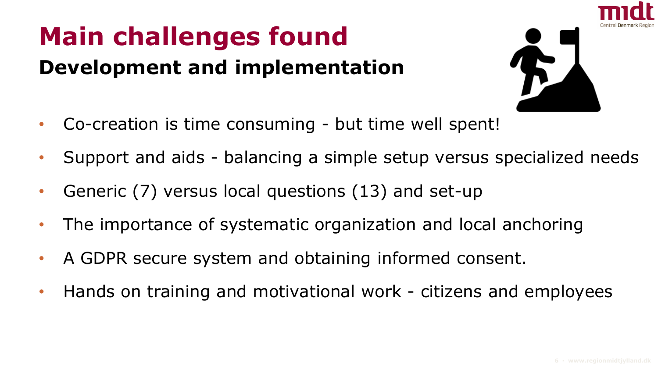## **Main challenges found Development and implementation**



- Co-creation is time consuming but time well spent!
- Support and aids balancing a simple setup versus specialized needs
- Generic (7) versus local questions (13) and set-up
- The importance of systematic organization and local anchoring
- A GDPR secure system and obtaining informed consent.
- Hands on training and motivational work citizens and employees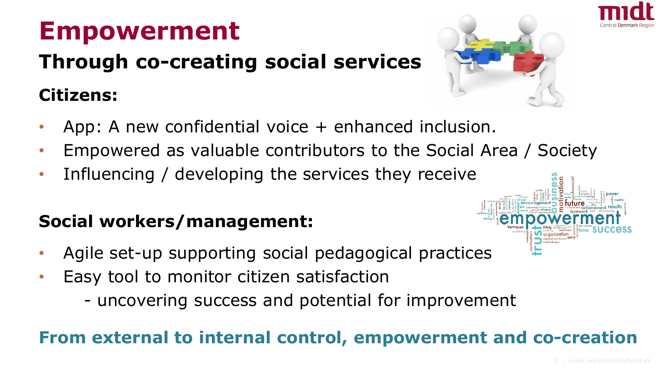## **Empowerment**

### **Through co-creating social services**

#### **Citizens:**



- App: A new confidential voice + enhanced inclusion.
- Empowered as valuable contributors to the Social Area / Society
- Influencing / developing the services they receive

### **Social workers/management:**

- Agile set-up supporting social pedagogical practices
- Easy tool to monitor citizen satisfaction
	- uncovering success and potential for improvement

### **From external to internal control, empowerment and co-creation**